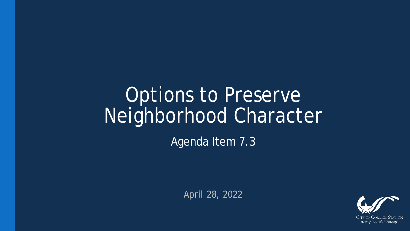# Options to Preserve Neighborhood Character

Agenda Item 7.3

April 28, 2022

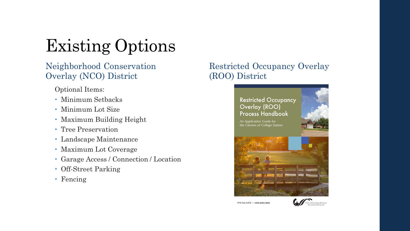# Existing Options

Neighborhood Conservation Overlay (NCO) District

Optional Items:

- Minimum Setbacks
- Minimum Lot Size
- Maximum Building Height
- Tree Preservation
- Landscape Maintenance
- Maximum Lot Coverage
- Garage Access / Connection / Location
- Off-Street Parking
- Fencing

#### Restricted Occupancy Overlay (ROO) District

#### **Restricted Occupancy** Overlay (ROO) **Process Handbook**







979.764.3570 · CSTX.GOV/ROO

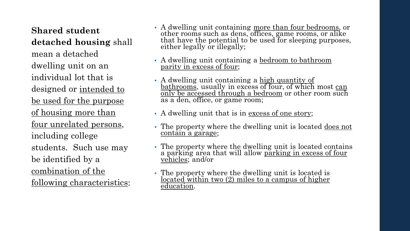**Shared student detached housing** shall mean a detached dwelling unit on an individual lot that is designed or <u>intended to</u> be used for the purpose of housing more than four unrelated persons, including college students. Such use may be identified by a combination of the following characteristics:

- A dwelling unit containing more than four bedrooms, or other rooms such as dens, offices, game rooms, or alike that have the potential to be used for sleeping purposes, either legally or illegally;
- A dwelling unit containing a bedroom to bathroom parity in excess of four;
- A dwelling unit containing a high quantity of bathrooms, usually in excess of four, of which most can only be accessed through a bedroom or other room such as a den, office, or game room;
- A dwelling unit that is in <u>excess of one story</u>;
- The property where the dwelling unit is located <u>does not</u> contain a garage;
- The property where the dwelling unit is located contains a parking area that will allow <u>parking in excess of four</u><br><u>vehicles</u>; and/or
- The property where the dwelling unit is located is <u>located within two (2) miles to a campus of higher</u> education.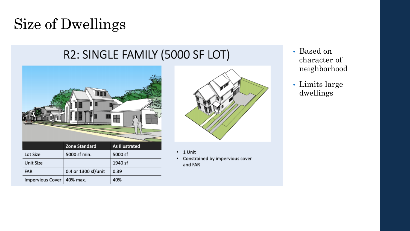# Size of Dwellings

#### R2: SINGLE FAMILY (5000 SF LOT)





- $\cdot$  1 Unit
- Constrained by impervious cover and FAR
- Based on character of neighborhood
- Limits large dwellings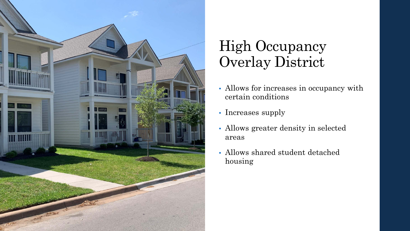

### High Occupancy Overlay District

- Allows for increases in occupancy with certain conditions
- Increases supply
- Allows greater density in selected areas
- Allows shared student detached housing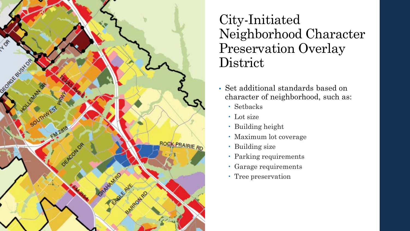

#### City-Initiated Neighborhood Character Preservation Overlay **District**

- Set additional standards based on character of neighborhood, such as:
	- Setbacks
	- Lot size
	- Building height
	- Maximum lot coverage
	- Building size
	- Parking requirements
	- Garage requirements
	- Tree preservation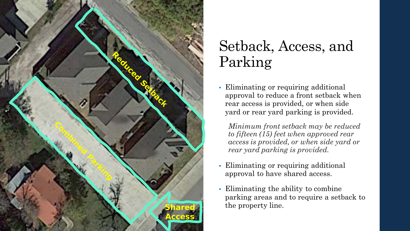

## Setback, Access, and Parking

• Eliminating or requiring additional approval to reduce a front setback when rear access is provided, or when side yard or rear yard parking is provided.

*Minimum front setback may be reduced to fifteen (15) feet when approved rear access is provided, or when side yard or rear yard parking is provided.* 

- Eliminating or requiring additional approval to have shared access.
- Eliminating the ability to combine parking areas and to require a setback to the property line.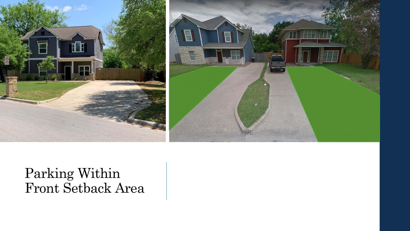



### Parking Within Front Setback Area